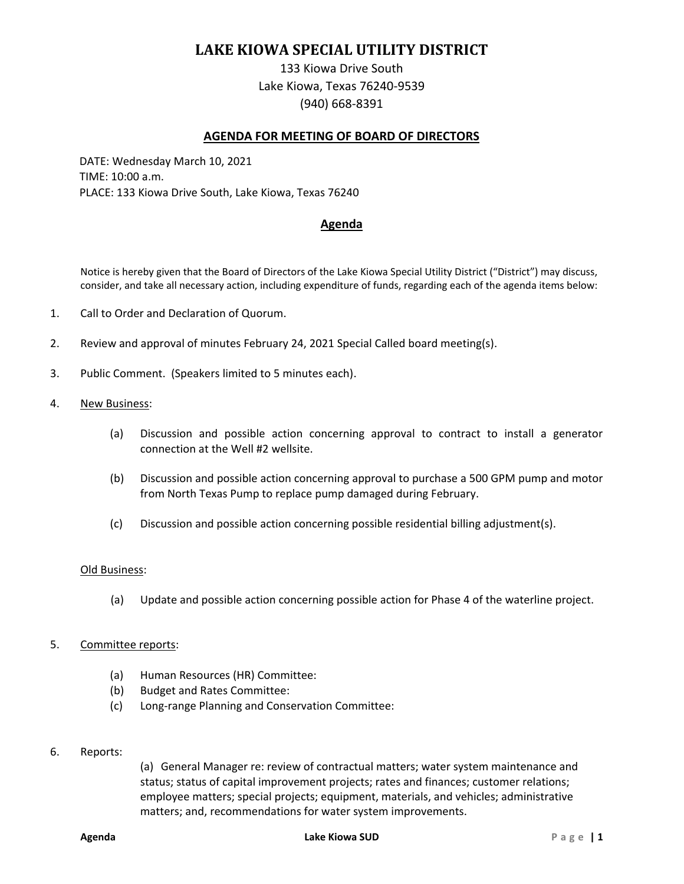# **LAKE KIOWA SPECIAL UTILITY DISTRICT**

133 Kiowa Drive South Lake Kiowa, Texas 76240-9539 (940) 668-8391

## **AGENDA FOR MEETING OF BOARD OF DIRECTORS**

DATE: Wednesday March 10, 2021 TIME: 10:00 a.m. PLACE: 133 Kiowa Drive South, Lake Kiowa, Texas 76240

# **Agenda**

Notice is hereby given that the Board of Directors of the Lake Kiowa Special Utility District ("District") may discuss, consider, and take all necessary action, including expenditure of funds, regarding each of the agenda items below:

- 1. Call to Order and Declaration of Quorum.
- 2. Review and approval of minutes February 24, 2021 Special Called board meeting(s).
- 3. Public Comment. (Speakers limited to 5 minutes each).
- 4. New Business:
	- (a) Discussion and possible action concerning approval to contract to install a generator connection at the Well #2 wellsite.
	- (b) Discussion and possible action concerning approval to purchase a 500 GPM pump and motor from North Texas Pump to replace pump damaged during February.
	- (c) Discussion and possible action concerning possible residential billing adjustment(s).

#### Old Business:

(a) Update and possible action concerning possible action for Phase 4 of the waterline project.

## 5. Committee reports:

- (a) Human Resources (HR) Committee:
- (b) Budget and Rates Committee:
- (c) Long-range Planning and Conservation Committee:
- 6. Reports:

(a) General Manager re: review of contractual matters; water system maintenance and status; status of capital improvement projects; rates and finances; customer relations; employee matters; special projects; equipment, materials, and vehicles; administrative matters; and, recommendations for water system improvements.